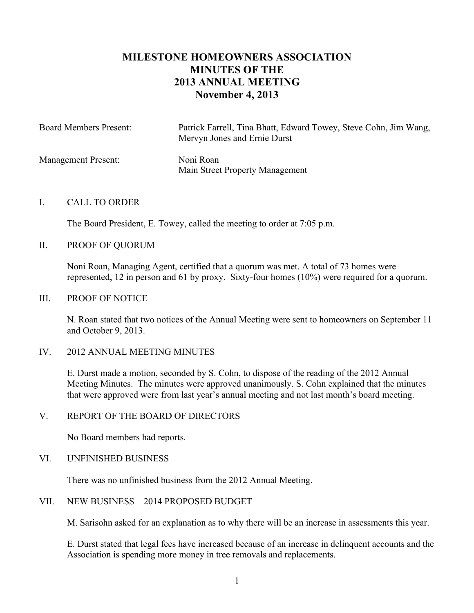# **MILESTONE HOMEOWNERS ASSOCIATION MINUTES OF THE 2013 ANNUAL MEETING November 4, 2013**

| <b>Board Members Present:</b> | Patrick Farrell, Tina Bhatt, Edward Towey, Steve Cohn, Jim Wang,<br>Mervyn Jones and Ernie Durst |
|-------------------------------|--------------------------------------------------------------------------------------------------|
| <b>Management Present:</b>    | Noni Roan<br>Main Street Property Management                                                     |

#### I. CALL TO ORDER

The Board President, E. Towey, called the meeting to order at 7:05 p.m.

II. PROOF OF QUORUM

Noni Roan, Managing Agent, certified that a quorum was met. A total of 73 homes were represented, 12 in person and 61 by proxy. Sixty-four homes (10%) were required for a quorum.

#### III. PROOF OF NOTICE

N. Roan stated that two notices of the Annual Meeting were sent to homeowners on September 11 and October 9, 2013.

#### IV. 2012 ANNUAL MEETING MINUTES

E. Durst made a motion, seconded by S. Cohn, to dispose of the reading of the 2012 Annual Meeting Minutes. The minutes were approved unanimously. S. Cohn explained that the minutes that were approved were from last year's annual meeting and not last month's board meeting.

### V. REPORT OF THE BOARD OF DIRECTORS

No Board members had reports.

### VI. UNFINISHED BUSINESS

There was no unfinished business from the 2012 Annual Meeting.

### VII. NEW BUSINESS – 2014 PROPOSED BUDGET

M. Sarisohn asked for an explanation as to why there will be an increase in assessments this year.

E. Durst stated that legal fees have increased because of an increase in delinquent accounts and the Association is spending more money in tree removals and replacements.